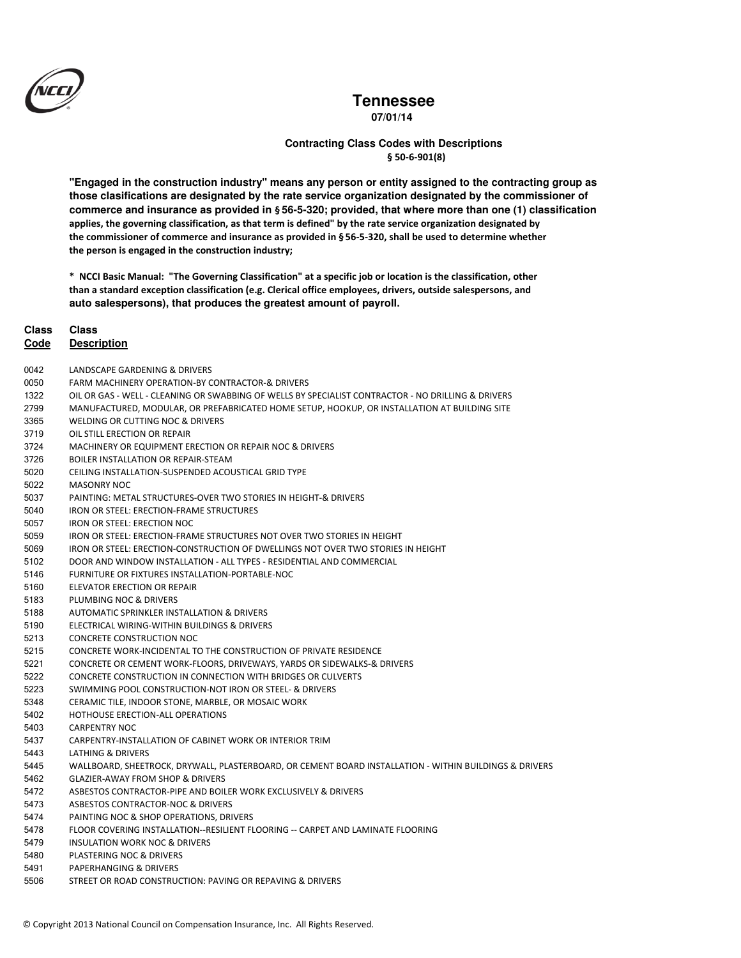

**07/01/14**

### § 50-6-901(8) **Contracting Class Codes with Descriptions**

**"Engaged in the construction industry" means any person or entity assigned to the contracting group as those clasifications are designated by the rate service organization designated by the commissioner of commerce and insurance as provided in** § **56-5-320; provided, that where more than one (1) classification**  applies, the governing classification, as that term is defined" by the rate service organization designated by the commissioner of commerce and insurance as provided in § 56-5-320, shall be used to determine whether the person is engaged in the construction industry;

\* NCCI Basic Manual: "The Governing Classification" at a specific job or location is the classification, other than a standard exception classification (e.g. Clerical office employees, drivers, outside salespersons, and **auto salespersons), that produces the greatest amount of payroll.**

#### **Class Class**

- 0042 LANDSCAPE GARDENING & DRIVERS
- FARM MACHINERY OPERATION-BY CONTRACTOR-& DRIVERS
- OIL OR GAS WELL CLEANING OR SWABBING OF WELLS BY SPECIALIST CONTRACTOR NO DRILLING & DRIVERS
- MANUFACTURED, MODULAR, OR PREFABRICATED HOME SETUP, HOOKUP, OR INSTALLATION AT BUILDING SITE
- WELDING OR CUTTING NOC & DRIVERS
- 3719 OIL STILL ERECTION OR REPAIR
- 3724 MACHINERY OR EQUIPMENT ERECTION OR REPAIR NOC & DRIVERS
- BOILER INSTALLATION OR REPAIR-STEAM
- CEILING INSTALLATION-SUSPENDED ACOUSTICAL GRID TYPE
- 5022 MASONRY NOC
- PAINTING: METAL STRUCTURES-OVER TWO STORIES IN HEIGHT-& DRIVERS
- 5040 IRON OR STEEL: ERECTION-FRAME STRUCTURES
- 5057 IRON OR STEEL: ERECTION NOC
- IRON OR STEEL: ERECTION-FRAME STRUCTURES NOT OVER TWO STORIES IN HEIGHT
- IRON OR STEEL: ERECTION-CONSTRUCTION OF DWELLINGS NOT OVER TWO STORIES IN HEIGHT
- DOOR AND WINDOW INSTALLATION ALL TYPES RESIDENTIAL AND COMMERCIAL
- 5146 FURNITURE OR FIXTURES INSTALLATION-PORTABLE-NOC
- ELEVATOR ERECTION OR REPAIR
- 5183 PLUMBING NOC & DRIVERS
- 5188 AUTOMATIC SPRINKLER INSTALLATION & DRIVERS
- ELECTRICAL WIRING-WITHIN BUILDINGS & DRIVERS
- 5213 CONCRETE CONSTRUCTION NOC
- CONCRETE WORK-INCIDENTAL TO THE CONSTRUCTION OF PRIVATE RESIDENCE
- CONCRETE OR CEMENT WORK-FLOORS, DRIVEWAYS, YARDS OR SIDEWALKS-& DRIVERS
- CONCRETE CONSTRUCTION IN CONNECTION WITH BRIDGES OR CULVERTS
- SWIMMING POOL CONSTRUCTION-NOT IRON OR STEEL- & DRIVERS
- 5348 CERAMIC TILE, INDOOR STONE, MARBLE, OR MOSAIC WORK
- 5402 HOTHOUSE ERECTION-ALL OPERATIONS
- 5403 CARPENTRY NOC
- 5437 CARPENTRY-INSTALLATION OF CABINET WORK OR INTERIOR TRIM
- 544 LATHING & DRIVERS
- 544 WALLBOARD, SHEETROCK, DRYWALL, PLASTERBOARD, OR CEMENT BOARD INSTALLATION - WITHIN BUILDINGS & DRIVERS
- 5462 GLAZIER-AWAY FROM SHOP & DRIVERS
- 5472 ASBESTOS CONTRACTOR-PIPE AND BOILER WORK EXCLUSIVELY & DRIVERS
- 5473 ASBESTOS CONTRACTOR-NOC & DRIVERS
- 5474 PAINTING NOC & SHOP OPERATIONS, DRIVERS
- 5478 FLOOR COVERING INSTALLATION--RESILIENT FLOORING -- CARPET AND LAMINATE FLOORING
- 5479 INSULATION WORK NOC & DRIVERS
- 548 PLASTERING NOC & DRIVERS
- 5491 PAPERHANGING & DRIVERS
- STREET OR ROAD CONSTRUCTION: PAVING OR REPAVING & DRIVERS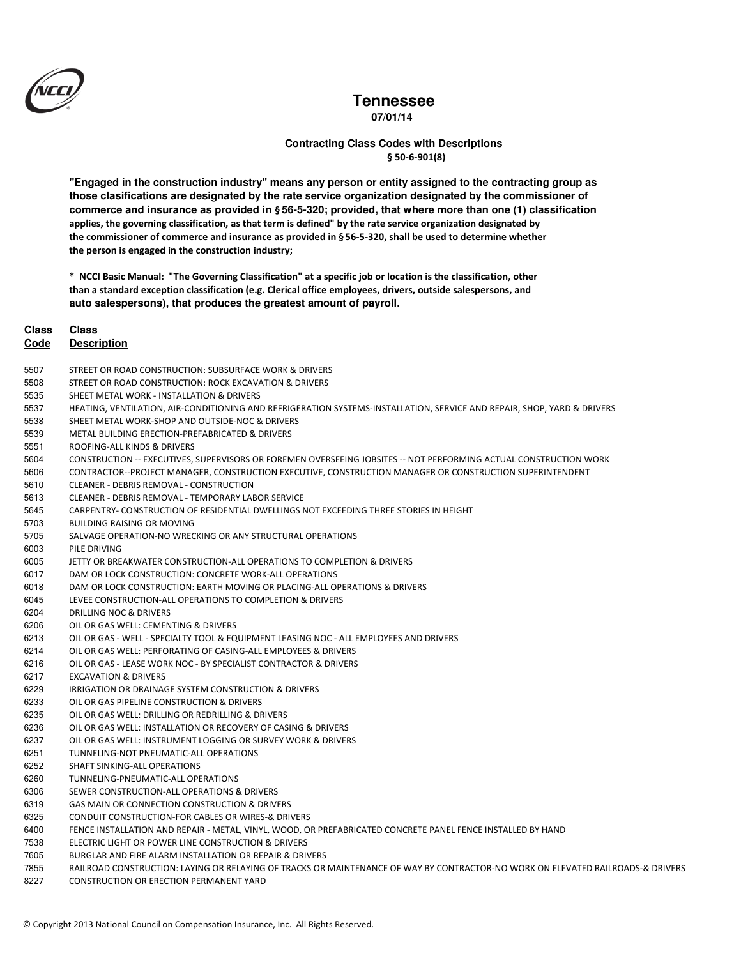

**07/01/14**

### § 50-6-901(8) **Contracting Class Codes with Descriptions**

**"Engaged in the construction industry" means any person or entity assigned to the contracting group as those clasifications are designated by the rate service organization designated by the commissioner of commerce and insurance as provided in** § **56-5-320; provided, that where more than one (1) classification**  applies, the governing classification, as that term is defined" by the rate service organization designated by the commissioner of commerce and insurance as provided in § 56-5-320, shall be used to determine whether the person is engaged in the construction industry;

\* NCCI Basic Manual: "The Governing Classification" at a specific job or location is the classification, other than a standard exception classification (e.g. Clerical office employees, drivers, outside salespersons, and **auto salespersons), that produces the greatest amount of payroll.**

### **Class Class**

- STREET OR ROAD CONSTRUCTION: SUBSURFACE WORK & DRIVERS
- 5508 STREET OR ROAD CONSTRUCTION: ROCK EXCAVATION & DRIVERS
- 5535 SHEET METAL WORK INSTALLATION & DRIVERS
- 5537 HEATING, VENTILATION, AIR-CONDITIONING AND REFRIGERATION SYSTEMS-INSTALLATION, SERVICE AND REPAIR, SHOP, YARD & DRIVERS
- 5538 SHEET METAL WORK-SHOP AND OUTSIDE-NOC & DRIVERS
- METAL BUILDING ERECTION-PREFABRICATED & DRIVERS
- 5551 ROOFING-ALL KINDS & DRIVERS
- 5604 CONSTRUCTION -- EXECUTIVES, SUPERVISORS OR FOREMEN OVERSEEING JOBSITES -- NOT PERFORMING ACTUAL CONSTRUCTION WORK
- CONTRACTOR--PROJECT MANAGER, CONSTRUCTION EXECUTIVE, CONSTRUCTION MANAGER OR CONSTRUCTION SUPERINTENDENT
- CLEANER DEBRIS REMOVAL CONSTRUCTION
- CLEANER DEBRIS REMOVAL TEMPORARY LABOR SERVICE
- 5645 CARPENTRY- CONSTRUCTION OF RESIDENTIAL DWELLINGS NOT EXCEEDING THREE STORIES IN HEIGHT
- BUILDING RAISING OR MOVING
- 5705 SALVAGE OPERATION-NO WRECKING OR ANY STRUCTURAL OPERATIONS
- 6003 PILE DRIVING
- JETTY OR BREAKWATER CONSTRUCTION-ALL OPERATIONS TO COMPLETION & DRIVERS
- 6017 DAM OR LOCK CONSTRUCTION: CONCRETE WORK-ALL OPERATIONS
- 6018 DAM OR LOCK CONSTRUCTION: EARTH MOVING OR PLACING-ALL OPERATIONS & DRIVERS
- 6045 LEVEE CONSTRUCTION-ALL OPERATIONS TO COMPLETION & DRIVERS
- 6204 DRILLING NOC & DRIVERS
- 6206 OIL OR GAS WELL: CEMENTING & DRIVERS
- OIL OR GAS WELL SPECIALTY TOOL & EQUIPMENT LEASING NOC ALL EMPLOYEES AND DRIVERS
- 6214 OIL OR GAS WELL: PERFORATING OF CASING-ALL EMPLOYEES & DRIVERS
- OIL OR GAS LEASE WORK NOC BY SPECIALIST CONTRACTOR & DRIVERS
- 6217 **EXCAVATION & DRIVERS**
- 6229 IRRIGATION OR DRAINAGE SYSTEM CONSTRUCTION & DRIVERS
- 6233 OIL OR GAS PIPELINE CONSTRUCTION & DRIVERS
- OIL OR GAS WELL: DRILLING OR REDRILLING & DRIVERS
- OIL OR GAS WELL: INSTALLATION OR RECOVERY OF CASING & DRIVERS
- OIL OR GAS WELL: INSTRUMENT LOGGING OR SURVEY WORK & DRIVERS
- TUNNELING-NOT PNEUMATIC-ALL OPERATIONS
- SHAFT SINKING-ALL OPERATIONS
- TUNNELING-PNEUMATIC-ALL OPERATIONS
- SEWER CONSTRUCTION-ALL OPERATIONS & DRIVERS
- GAS MAIN OR CONNECTION CONSTRUCTION & DRIVERS
- CONDUIT CONSTRUCTION-FOR CABLES OR WIRES-& DRIVERS
- 6400 FENCE INSTALLATION AND REPAIR - METAL, VINYL, WOOD, OR PREFABRICATED CONCRETE PANEL FENCE INSTALLED BY HAND
- 7538 ELECTRIC LIGHT OR POWER LINE CONSTRUCTION & DRIVERS
- BURGLAR AND FIRE ALARM INSTALLATION OR REPAIR & DRIVERS
- 7855 RAILROAD CONSTRUCTION: LAYING OR RELAYING OF TRACKS OR MAINTENANCE OF WAY BY CONTRACTOR-NO WORK ON ELEVATED RAILROADS-& DRIVERS
- 8227 CONSTRUCTION OR ERECTION PERMANENT YARD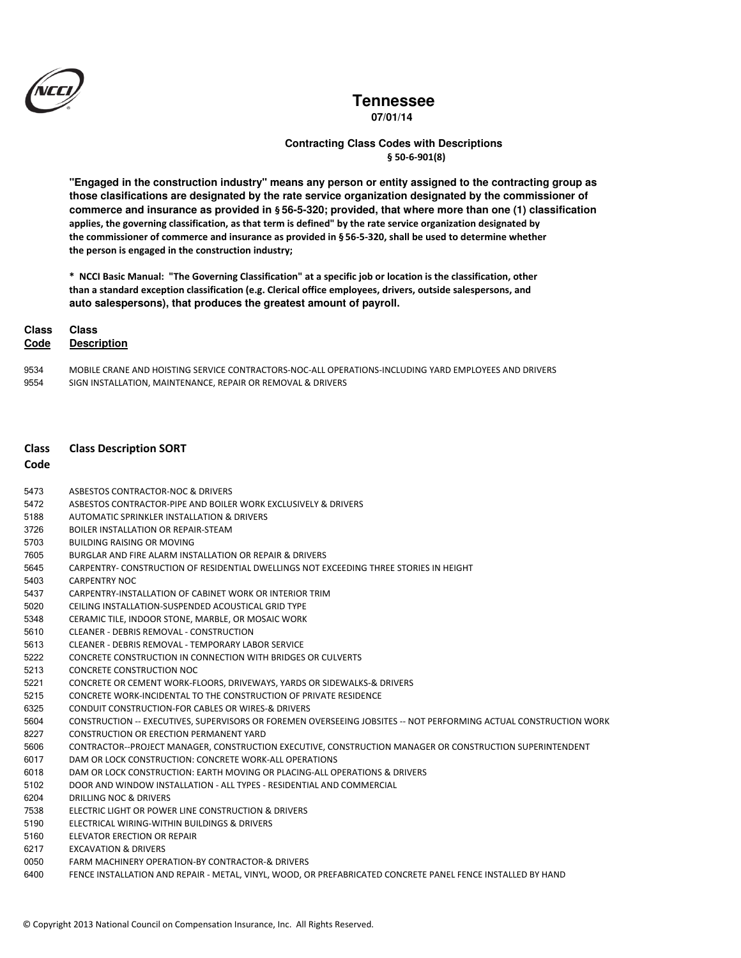

**07/01/14**

### § 50-6-901(8) **Contracting Class Codes with Descriptions**

**"Engaged in the construction industry" means any person or entity assigned to the contracting group as those clasifications are designated by the rate service organization designated by the commissioner of commerce and insurance as provided in** § **56-5-320; provided, that where more than one (1) classification**  applies, the governing classification, as that term is defined" by the rate service organization designated by the commissioner of commerce and insurance as provided in § 56-5-320, shall be used to determine whether the person is engaged in the construction industry;

\* NCCI Basic Manual: "The Governing Classification" at a specific job or location is the classification, other than a standard exception classification (e.g. Clerical office employees, drivers, outside salespersons, and **auto salespersons), that produces the greatest amount of payroll.**

#### **Class Class**

#### **Code Description**

9534 MOBILE CRANE AND HOISTING SERVICE CONTRACTORS-NOC-ALL OPERATIONS-INCLUDING YARD EMPLOYEES AND DRIVERS 9554 SIGN INSTALLATION, MAINTENANCE, REPAIR OR REMOVAL & DRIVERS

### Class Class Description SORT

#### **Code**

- 5473 ASBESTOS CONTRACTOR-NOC & DRIVERS
- 5472 ASBESTOS CONTRACTOR-PIPE AND BOILER WORK EXCLUSIVELY & DRIVERS
- 5188 AUTOMATIC SPRINKLER INSTALLATION & DRIVERS
- 3726 BOILER INSTALLATION OR REPAIR-STEAM
- BUILDING RAISING OR MOVING
- BURGLAR AND FIRE ALARM INSTALLATION OR REPAIR & DRIVERS
- 5645 CARPENTRY- CONSTRUCTION OF RESIDENTIAL DWELLINGS NOT EXCEEDING THREE STORIES IN HEIGHT
- 5403 CARPENTRY NOC
- 5437 CARPENTRY-INSTALLATION OF CABINET WORK OR INTERIOR TRIM
- CEILING INSTALLATION-SUSPENDED ACOUSTICAL GRID TYPE
- 5348 CERAMIC TILE, INDOOR STONE, MARBLE, OR MOSAIC WORK
- CLEANER DEBRIS REMOVAL CONSTRUCTION
- CLEANER DEBRIS REMOVAL TEMPORARY LABOR SERVICE
- CONCRETE CONSTRUCTION IN CONNECTION WITH BRIDGES OR CULVERTS
- 5213 CONCRETE CONSTRUCTION NOC
- CONCRETE OR CEMENT WORK-FLOORS, DRIVEWAYS, YARDS OR SIDEWALKS-& DRIVERS
- CONCRETE WORK-INCIDENTAL TO THE CONSTRUCTION OF PRIVATE RESIDENCE
- CONDUIT CONSTRUCTION-FOR CABLES OR WIRES-& DRIVERS
- 5604 CONSTRUCTION -- EXECUTIVES, SUPERVISORS OR FOREMEN OVERSEEING JOBSITES -- NOT PERFORMING ACTUAL CONSTRUCTION WORK
- 8227 CONSTRUCTION OR ERECTION PERMANENT YARD
- CONTRACTOR--PROJECT MANAGER, CONSTRUCTION EXECUTIVE, CONSTRUCTION MANAGER OR CONSTRUCTION SUPERINTENDENT
- 6017 DAM OR LOCK CONSTRUCTION: CONCRETE WORK-ALL OPERATIONS
- 6018 DAM OR LOCK CONSTRUCTION: EARTH MOVING OR PLACING-ALL OPERATIONS & DRIVERS
- DOOR AND WINDOW INSTALLATION ALL TYPES RESIDENTIAL AND COMMERCIAL
- 6204 DRILLING NOC & DRIVERS
- 7538 ELECTRIC LIGHT OR POWER LINE CONSTRUCTION & DRIVERS
- ELECTRICAL WIRING-WITHIN BUILDINGS & DRIVERS
- ELEVATOR ERECTION OR REPAIR
- EXCAVATION & DRIVERS
- FARM MACHINERY OPERATION-BY CONTRACTOR-& DRIVERS
- 6400 FENCE INSTALLATION AND REPAIR - METAL, VINYL, WOOD, OR PREFABRICATED CONCRETE PANEL FENCE INSTALLED BY HAND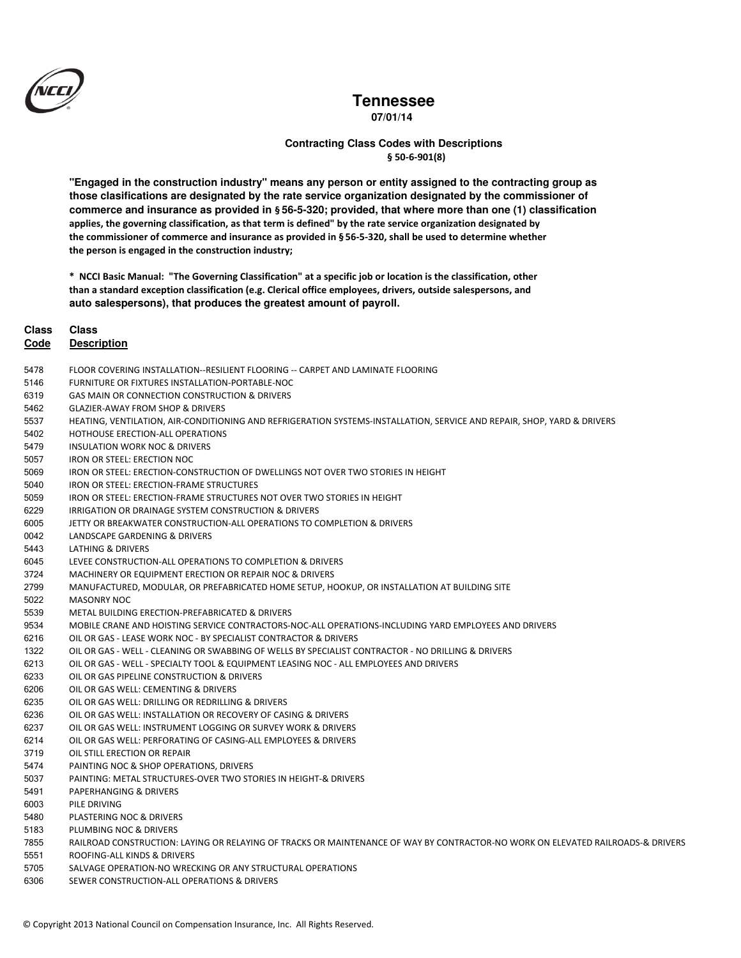

**07/01/14**

### § 50-6-901(8) **Contracting Class Codes with Descriptions**

**"Engaged in the construction industry" means any person or entity assigned to the contracting group as those clasifications are designated by the rate service organization designated by the commissioner of commerce and insurance as provided in** § **56-5-320; provided, that where more than one (1) classification**  applies, the governing classification, as that term is defined" by the rate service organization designated by the commissioner of commerce and insurance as provided in § 56-5-320, shall be used to determine whether the person is engaged in the construction industry;

\* NCCI Basic Manual: "The Governing Classification" at a specific job or location is the classification, other than a standard exception classification (e.g. Clerical office employees, drivers, outside salespersons, and **auto salespersons), that produces the greatest amount of payroll.**

### **Class Class**

- 5478 FLOOR COVERING INSTALLATION--RESILIENT FLOORING -- CARPET AND LAMINATE FLOORING
- 5146 FURNITURE OR FIXTURES INSTALLATION-PORTABLE-NOC
- GAS MAIN OR CONNECTION CONSTRUCTION & DRIVERS
- 5462 GLAZIER-AWAY FROM SHOP & DRIVERS
- 5537 HEATING, VENTILATION, AIR-CONDITIONING AND REFRIGERATION SYSTEMS-INSTALLATION, SERVICE AND REPAIR, SHOP, YARD & DRIVERS
- 5402 HOTHOUSE ERECTION-ALL OPERATIONS
- 5479 INSULATION WORK NOC & DRIVERS
- 5057 IRON OR STEEL: ERECTION NOC
- IRON OR STEEL: ERECTION-CONSTRUCTION OF DWELLINGS NOT OVER TWO STORIES IN HEIGHT
- 5040 IRON OR STEEL: ERECTION-FRAME STRUCTURES
- 5059 IRON OR STEEL: ERECTION-FRAME STRUCTURES NOT OVER TWO STORIES IN HEIGHT
- IRRIGATION OR DRAINAGE SYSTEM CONSTRUCTION & DRIVERS
- JETTY OR BREAKWATER CONSTRUCTION-ALL OPERATIONS TO COMPLETION & DRIVERS
- 0042 LANDSCAPE GARDENING & DRIVERS
- 544 LATHING & DRIVERS
- 6045 LEVEE CONSTRUCTION-ALL OPERATIONS TO COMPLETION & DRIVERS
- 3724 MACHINERY OR EQUIPMENT ERECTION OR REPAIR NOC & DRIVERS
- MANUFACTURED, MODULAR, OR PREFABRICATED HOME SETUP, HOOKUP, OR INSTALLATION AT BUILDING SITE
- 5022 MASONRY NOC
- METAL BUILDING ERECTION-PREFABRICATED & DRIVERS
- 9534 MOBILE CRANE AND HOISTING SERVICE CONTRACTORS-NOC-ALL OPERATIONS-INCLUDING YARD EMPLOYEES AND DRIVERS
- OIL OR GAS LEASE WORK NOC BY SPECIALIST CONTRACTOR & DRIVERS
- OIL OR GAS WELL CLEANING OR SWABBING OF WELLS BY SPECIALIST CONTRACTOR NO DRILLING & DRIVERS
- OIL OR GAS WELL SPECIALTY TOOL & EQUIPMENT LEASING NOC ALL EMPLOYEES AND DRIVERS
- 6233 OIL OR GAS PIPELINE CONSTRUCTION & DRIVERS
- 6206 OIL OR GAS WELL: CEMENTING & DRIVERS
- OIL OR GAS WELL: DRILLING OR REDRILLING & DRIVERS
- 6236 OIL OR GAS WELL: INSTALLATION OR RECOVERY OF CASING & DRIVERS
- 6237 OIL OR GAS WELL: INSTRUMENT LOGGING OR SURVEY WORK & DRIVERS
- 6214 OIL OR GAS WELL: PERFORATING OF CASING-ALL EMPLOYEES & DRIVERS
- 3719 OIL STILL ERECTION OR REPAIR
- 5474 PAINTING NOC & SHOP OPERATIONS, DRIVERS
- PAINTING: METAL STRUCTURES-OVER TWO STORIES IN HEIGHT-& DRIVERS
- 5491 PAPERHANGING & DRIVERS
- 6003 PILE DRIVING
- 548 PLASTERING NOC & DRIVERS
- 5183 PLUMBING NOC & DRIVERS
- 7855 RAILROAD CONSTRUCTION: LAYING OR RELAYING OF TRACKS OR MAINTENANCE OF WAY BY CONTRACTOR-NO WORK ON ELEVATED RAILROADS-& DRIVERS
- ROOFING-ALL KINDS & DRIVERS
- SALVAGE OPERATION-NO WRECKING OR ANY STRUCTURAL OPERATIONS
- SEWER CONSTRUCTION-ALL OPERATIONS & DRIVERS